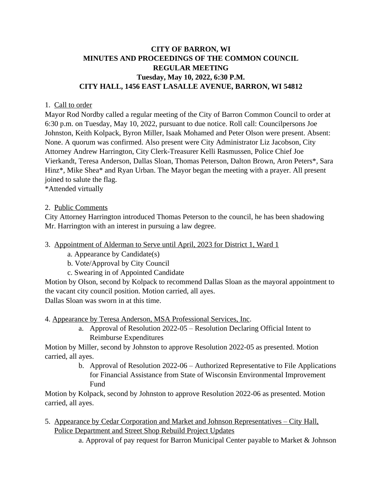# **CITY OF BARRON, WI MINUTES AND PROCEEDINGS OF THE COMMON COUNCIL REGULAR MEETING Tuesday, May 10, 2022, 6:30 P.M. CITY HALL, 1456 EAST LASALLE AVENUE, BARRON, WI 54812**

### 1. Call to order

Mayor Rod Nordby called a regular meeting of the City of Barron Common Council to order at 6:30 p.m. on Tuesday, May 10, 2022, pursuant to due notice. Roll call: Councilpersons Joe Johnston, Keith Kolpack, Byron Miller, Isaak Mohamed and Peter Olson were present. Absent: None. A quorum was confirmed. Also present were City Administrator Liz Jacobson, City Attorney Andrew Harrington, City Clerk-Treasurer Kelli Rasmussen, Police Chief Joe Vierkandt, Teresa Anderson, Dallas Sloan, Thomas Peterson, Dalton Brown, Aron Peters\*, Sara Hinz\*, Mike Shea\* and Ryan Urban. The Mayor began the meeting with a prayer. All present joined to salute the flag.

\*Attended virtually

### 2. Public Comments

City Attorney Harrington introduced Thomas Peterson to the council, he has been shadowing Mr. Harrington with an interest in pursuing a law degree.

#### 3. Appointment of Alderman to Serve until April, 2023 for District 1, Ward 1

a. Appearance by Candidate(s)

b. Vote/Approval by City Council

c. Swearing in of Appointed Candidate

Motion by Olson, second by Kolpack to recommend Dallas Sloan as the mayoral appointment to the vacant city council position. Motion carried, all ayes.

Dallas Sloan was sworn in at this time.

4. Appearance by Teresa Anderson, MSA Professional Services, Inc.

a. Approval of Resolution 2022-05 – Resolution Declaring Official Intent to Reimburse Expenditures

Motion by Miller, second by Johnston to approve Resolution 2022-05 as presented. Motion carried, all ayes.

> b. Approval of Resolution 2022-06 – Authorized Representative to File Applications for Financial Assistance from State of Wisconsin Environmental Improvement Fund

Motion by Kolpack, second by Johnston to approve Resolution 2022-06 as presented. Motion carried, all ayes.

- 5. Appearance by Cedar Corporation and Market and Johnson Representatives City Hall, Police Department and Street Shop Rebuild Project Updates
	- a. Approval of pay request for Barron Municipal Center payable to Market & Johnson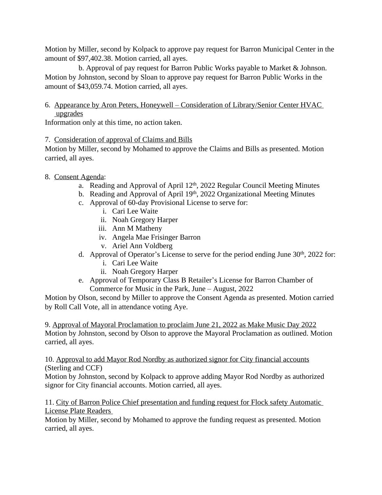Motion by Miller, second by Kolpack to approve pay request for Barron Municipal Center in the amount of \$97,402.38. Motion carried, all ayes.

b. Approval of pay request for Barron Public Works payable to Market & Johnson. Motion by Johnston, second by Sloan to approve pay request for Barron Public Works in the amount of \$43,059.74. Motion carried, all ayes.

# 6. Appearance by Aron Peters, Honeywell – Consideration of Library/Senior Center HVAC upgrades

Information only at this time, no action taken.

## 7. Consideration of approval of Claims and Bills

Motion by Miller, second by Mohamed to approve the Claims and Bills as presented. Motion carried, all ayes.

- 8. Consent Agenda:
	- a. Reading and Approval of April 12<sup>th</sup>, 2022 Regular Council Meeting Minutes
	- b. Reading and Approval of April 19th, 2022 Organizational Meeting Minutes
	- c. Approval of 60-day Provisional License to serve for:
		- i. Cari Lee Waite
		- ii. Noah Gregory Harper
		- iii. Ann M Matheny
		- iv. Angela Mae Frisinger Barron
		- v. Ariel Ann Voldberg
	- d. Approval of Operator's License to serve for the period ending June 30<sup>th</sup>, 2022 for:
		- i. Cari Lee Waite
		- ii. Noah Gregory Harper
	- e. Approval of Temporary Class B Retailer's License for Barron Chamber of Commerce for Music in the Park, June – August, 2022

Motion by Olson, second by Miller to approve the Consent Agenda as presented. Motion carried by Roll Call Vote, all in attendance voting Aye.

9. Approval of Mayoral Proclamation to proclaim June 21, 2022 as Make Music Day 2022 Motion by Johnston, second by Olson to approve the Mayoral Proclamation as outlined. Motion carried, all ayes.

10. Approval to add Mayor Rod Nordby as authorized signor for City financial accounts (Sterling and CCF)

Motion by Johnston, second by Kolpack to approve adding Mayor Rod Nordby as authorized signor for City financial accounts. Motion carried, all ayes.

11. City of Barron Police Chief presentation and funding request for Flock safety Automatic License Plate Readers

Motion by Miller, second by Mohamed to approve the funding request as presented. Motion carried, all ayes.